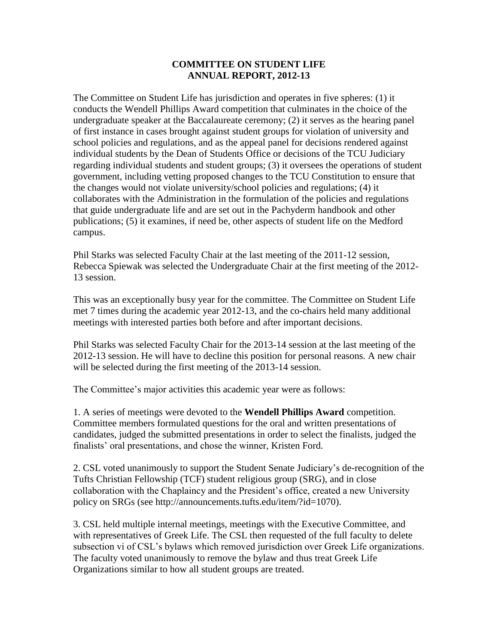## **COMMITTEE ON STUDENT LIFE ANNUAL REPORT, 2012-13**

The Committee on Student Life has jurisdiction and operates in five spheres: (1) it conducts the Wendell Phillips Award competition that culminates in the choice of the undergraduate speaker at the Baccalaureate ceremony; (2) it serves as the hearing panel of first instance in cases brought against student groups for violation of university and school policies and regulations, and as the appeal panel for decisions rendered against individual students by the Dean of Students Office or decisions of the TCU Judiciary regarding individual students and student groups; (3) it oversees the operations of student government, including vetting proposed changes to the TCU Constitution to ensure that the changes would not violate university/school policies and regulations; (4) it collaborates with the Administration in the formulation of the policies and regulations that guide undergraduate life and are set out in the Pachyderm handbook and other publications; (5) it examines, if need be, other aspects of student life on the Medford campus.

Phil Starks was selected Faculty Chair at the last meeting of the 2011-12 session, Rebecca Spiewak was selected the Undergraduate Chair at the first meeting of the 2012- 13 session.

This was an exceptionally busy year for the committee. The Committee on Student Life met 7 times during the academic year 2012-13, and the co-chairs held many additional meetings with interested parties both before and after important decisions.

Phil Starks was selected Faculty Chair for the 2013-14 session at the last meeting of the 2012-13 session. He will have to decline this position for personal reasons. A new chair will be selected during the first meeting of the 2013-14 session.

The Committee's major activities this academic year were as follows:

1. A series of meetings were devoted to the **Wendell Phillips Award** competition. Committee members formulated questions for the oral and written presentations of candidates, judged the submitted presentations in order to select the finalists, judged the finalists' oral presentations, and chose the winner, Kristen Ford.

2. CSL voted unanimously to support the Student Senate Judiciary's de-recognition of the Tufts Christian Fellowship (TCF) student religious group (SRG), and in close collaboration with the Chaplaincy and the President's office, created a new University policy on SRGs (see http://announcements.tufts.edu/item/?id=1070).

3. CSL held multiple internal meetings, meetings with the Executive Committee, and with representatives of Greek Life. The CSL then requested of the full faculty to delete subsection vi of CSL's bylaws which removed jurisdiction over Greek Life organizations. The faculty voted unanimously to remove the bylaw and thus treat Greek Life Organizations similar to how all student groups are treated.